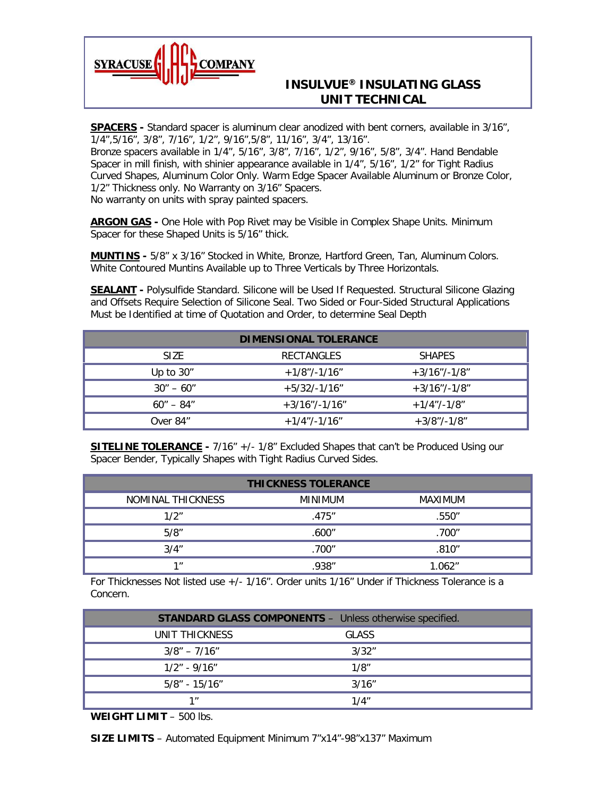

## **INSULVUE® INSULATING GLASS UNIT TECHNICAL**

**SPACERS -** Standard spacer is aluminum clear anodized with bent corners, available in 3/16", 1/4",5/16", 3/8", 7/16", 1/2", 9/16",5/8", 11/16", 3/4", 13/16".

Bronze spacers available in 1/4", 5/16", 3/8", 7/16", 1/2", 9/16", 5/8", 3/4". Hand Bendable Spacer in mill finish, with shinier appearance available in 1/4", 5/16", 1/2" for Tight Radius Curved Shapes, Aluminum Color Only. Warm Edge Spacer Available Aluminum or Bronze Color, 1/2" Thickness only. No Warranty on 3/16" Spacers. No warranty on units with spray painted spacers.

**ARGON GAS -** One Hole with Pop Rivet may be Visible in Complex Shape Units. Minimum Spacer for these Shaped Units is 5/16" thick.

**MUNTINS -** 5/8" x 3/16" Stocked in White, Bronze, Hartford Green, Tan, Aluminum Colors. White Contoured Muntins Available up to Three Verticals by Three Horizontals.

**SEALANT -** Polysulfide Standard. Silicone will be Used If Requested. Structural Silicone Glazing and Offsets Require Selection of Silicone Seal. Two Sided or Four-Sided Structural Applications Must be Identified at time of Quotation and Order, to determine Seal Depth

| <b>DIMENSIONAL TOLERANCE</b> |                   |                 |  |  |  |
|------------------------------|-------------------|-----------------|--|--|--|
| SIZE.                        | <b>RECTANGLES</b> | <b>SHAPES</b>   |  |  |  |
| Up to $30''$                 | $+1/8$ "/-1/16"   | $+3/16$ "/-1/8" |  |  |  |
| $30'' - 60''$                | $+5/32/-1/16"$    | $+3/16$ "/-1/8" |  |  |  |
| $60'' - 84''$                | $+3/16$ "/-1/16"  | $+1/4$ "/-1/8"  |  |  |  |
| Over 84"                     | $+1/4$ "/-1/16"   | $+3/8$ "/-1/8"  |  |  |  |

**SITELINE TOLERANCE -** 7/16" +/- 1/8" Excluded Shapes that can't be Produced Using our Spacer Bender, Typically Shapes with Tight Radius Curved Sides.

| <b>THICKNESS TOLERANCE</b> |                |         |  |  |  |
|----------------------------|----------------|---------|--|--|--|
| NOMINAL THICKNESS          | <b>MINIMUM</b> | MAXIMUM |  |  |  |
| 1/2"                       | .475"          | .550″   |  |  |  |
| 5/8"                       | .600″          | .700″   |  |  |  |
| 3/4"                       | .700″          | .810''  |  |  |  |
| 1 <sub>II</sub>            | .938″          | 1.062"  |  |  |  |

For Thicknesses Not listed use +/- 1/16". Order units 1/16" Under if Thickness Tolerance is a Concern.

| <b>STANDARD GLASS COMPONENTS - Unless otherwise specified.</b> |              |  |  |
|----------------------------------------------------------------|--------------|--|--|
| UNIT THICKNESS                                                 | <b>GLASS</b> |  |  |
| $3/8" - 7/16"$                                                 | 3/32"        |  |  |
| $1/2" - 9/16"$                                                 | 1/8"         |  |  |
| 5/8″ - 15/16″                                                  | 3/16"        |  |  |
| 1 <sub>II</sub>                                                | 1/4"         |  |  |

**WEIGHT LIMIT** – 500 lbs.

**SIZE LIMITS** – Automated Equipment Minimum 7"x14"-98"x137" Maximum